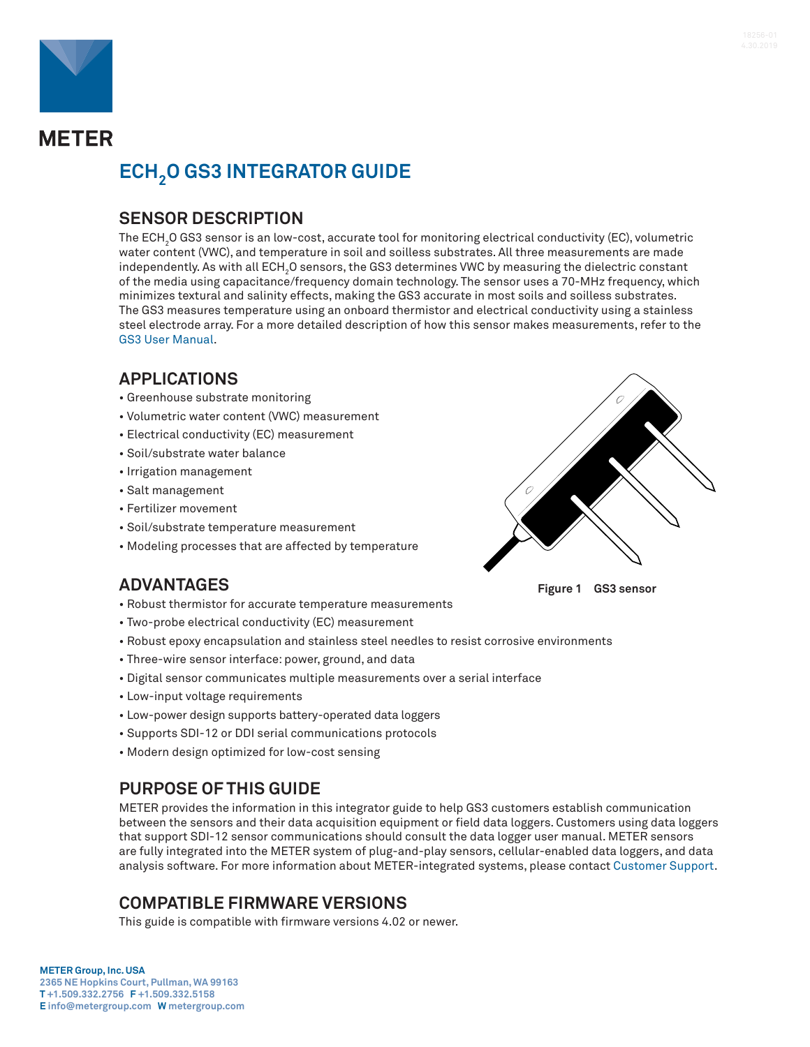

**METER** 

# **ECH2O GS3 INTEGRATOR GUIDE**

## **SENSOR DESCRIPTION**

The ECH $_{\rm 2}$ O GS3 sensor is an low-cost, accurate tool for monitoring electrical conductivity (EC), volumetric water content (VWC), and temperature in soil and soilless substrates. All three measurements are made independently. As with all ECH $_{\rm 2}$ O sensors, the GS3 determines VWC by measuring the dielectric constant of the media using capacitance/frequency domain technology. The sensor uses a 70-MHz frequency, which minimizes textural and salinity effects, making the GS3 accurate in most soils and soilless substrates. The GS3 measures temperature using an onboard thermistor and electrical conductivity using a stainless steel electrode array. For a more detailed description of how this sensor makes measurements, refer to the [GS3 User Manual.](https://www.metergroup.com/environment/articles/meter-legacy-soil-moisture-sensors/#gs3)

## **APPLICATIONS**

- Greenhouse substrate monitoring
- Volumetric water content (VWC) measurement
- Electrical conductivity (EC) measurement
- Soil/substrate water balance
- Irrigation management
- Salt management
- Fertilizer movement
- Soil/substrate temperature measurement
- Modeling processes that are affected by temperature



**Figure 1 GS3 sensor**

## **ADVANTAGES**

- Robust thermistor for accurate temperature measurements
- Two-probe electrical conductivity (EC) measurement
- Robust epoxy encapsulation and stainless steel needles to resist corrosive environments
- Three-wire sensor interface: power, ground, and data
- Digital sensor communicates multiple measurements over a serial interface
- Low-input voltage requirements
- Low-power design supports battery-operated data loggers
- Supports SDI-12 or DDI serial communications protocols
- Modern design optimized for low-cost sensing

## **PURPOSE OF THIS GUIDE**

METER provides the information in this integrator guide to help GS3 customers establish communication between the sensors and their data acquisition equipment or field data loggers. Customers using data loggers that support SDI-12 sensor communications should consult the data logger user manual. METER sensors are fully integrated into the METER system of plug-and-play sensors, cellular-enabled data loggers, and data analysis software. For more information about METER-integrated systems, please contact [Customer Support](#page-10-0).

## **COMPATIBLE FIRMWARE VERSIONS**

This guide is compatible with firmware versions 4.02 or newer.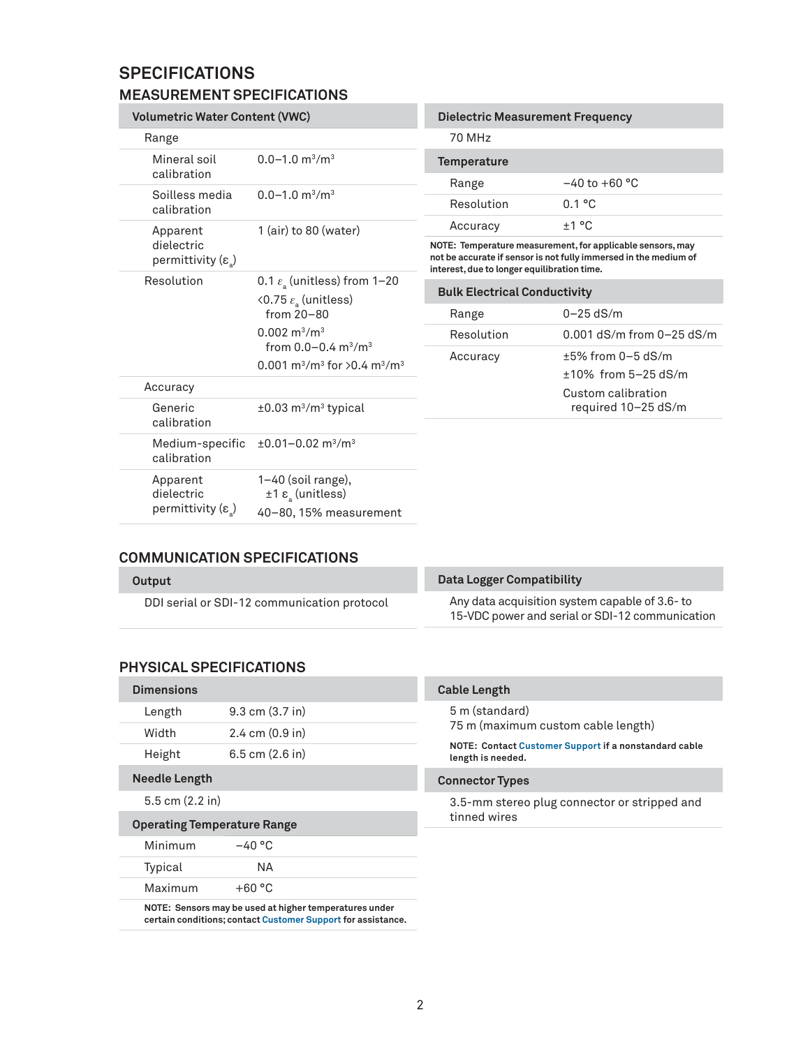## **SPECIFICATIONS**

## **MEASUREMENT SPECIFICATIONS**

| <b>Volumetric Water Content (VWC)</b>                 |                                                                                                                                                                                                                                     | <b>Dielectric Measurement Frequency</b>                                                                                                                                       |                               |
|-------------------------------------------------------|-------------------------------------------------------------------------------------------------------------------------------------------------------------------------------------------------------------------------------------|-------------------------------------------------------------------------------------------------------------------------------------------------------------------------------|-------------------------------|
| Range                                                 |                                                                                                                                                                                                                                     | 70 MHz                                                                                                                                                                        |                               |
| Mineral soil<br>calibration                           | $0.0 - 1.0$ m <sup>3</sup> /m <sup>3</sup>                                                                                                                                                                                          | <b>Temperature</b>                                                                                                                                                            |                               |
| Soilless media                                        | $0.0 - 1.0$ m <sup>3</sup> /m <sup>3</sup>                                                                                                                                                                                          | Range                                                                                                                                                                         | $-40$ to $+60$ °C             |
| calibration                                           |                                                                                                                                                                                                                                     | Resolution                                                                                                                                                                    | 0.1 °C                        |
| Apparent                                              | 1 (air) to 80 (water)                                                                                                                                                                                                               | Accuracy                                                                                                                                                                      | ±1 °C                         |
| dielectric<br>permittivity (ε)                        |                                                                                                                                                                                                                                     | NOTE: Temperature measurement, for applicable sensors, may<br>not be accurate if sensor is not fully immersed in the medium of<br>interest, due to longer equilibration time. |                               |
| Resolution                                            | 0.1 $\varepsilon$ (unitless) from 1-20                                                                                                                                                                                              | <b>Bulk Electrical Conductivity</b>                                                                                                                                           |                               |
|                                                       | $\langle 0.75 \varepsilon_{\rm a}$ (unitless)<br>from 20-80<br>$0.002 \text{ m}^3/\text{m}^3$<br>from $0.0 - 0.4$ m <sup>3</sup> /m <sup>3</sup><br>0.001 m <sup>3</sup> /m <sup>3</sup> for $>$ 0.4 m <sup>3</sup> /m <sup>3</sup> |                                                                                                                                                                               |                               |
|                                                       |                                                                                                                                                                                                                                     | Range                                                                                                                                                                         | $0 - 25$ dS/m                 |
|                                                       |                                                                                                                                                                                                                                     | Resolution                                                                                                                                                                    | 0.001 $dS/m$ from 0-25 $dS/m$ |
|                                                       |                                                                                                                                                                                                                                     | Accuracy                                                                                                                                                                      | $±5\%$ from 0 $-5$ dS/m       |
|                                                       |                                                                                                                                                                                                                                     |                                                                                                                                                                               | $±10\%$ from 5 $-25$ dS/m     |
| Accuracy                                              |                                                                                                                                                                                                                                     |                                                                                                                                                                               | Custom calibration            |
| Generic<br>calibration                                | $\pm 0.03$ m <sup>3</sup> /m <sup>3</sup> typical                                                                                                                                                                                   |                                                                                                                                                                               | required 10-25 dS/m           |
| Medium-specific<br>calibration                        | $\pm 0.01 - 0.02$ m <sup>3</sup> /m <sup>3</sup>                                                                                                                                                                                    |                                                                                                                                                                               |                               |
| Apparent<br>dielectric<br>permittivity $(\epsilon_a)$ | 1-40 (soil range),<br>$±1 εa$ (unitless)                                                                                                                                                                                            |                                                                                                                                                                               |                               |
|                                                       | 40-80, 15% measurement                                                                                                                                                                                                              |                                                                                                                                                                               |                               |

### **COMMUNICATION SPECIFICATIONS**

| Output                                      | Data Logger Compatibility                                                                         |  |
|---------------------------------------------|---------------------------------------------------------------------------------------------------|--|
| DDI serial or SDI-12 communication protocol | Any data acquisition system capable of 3.6- to<br>15-VDC power and serial or SDI-12 communication |  |
|                                             |                                                                                                   |  |

### **PHYSICAL SPECIFICATIONS**

| <b>Dimensions</b>                  |                                    |  |
|------------------------------------|------------------------------------|--|
| Length                             | $9.3 \text{ cm } (3.7 \text{ in})$ |  |
| Width                              | $2.4 \text{ cm } (0.9 \text{ in})$ |  |
| Height                             | $6.5$ cm $(2.6)$ in                |  |
| <b>Needle Length</b>               |                                    |  |
| $5.5$ cm $(2.2)$ in                |                                    |  |
| <b>Operating Temperature Range</b> |                                    |  |
| Minimum                            | $-40 °C$                           |  |
| Typical                            | ΝA.                                |  |
| Maximum                            | $+60 °C$                           |  |
|                                    |                                    |  |

**NOTE: Sensors may be used at higher temperatures under certain conditions; contact [Customer Support](#page-10-0) for assistance.**

| NOTE: Contact Customer Support if a nonstandard cable |
|-------------------------------------------------------|
|                                                       |
| 3.5-mm stereo plug connector or stripped and          |
|                                                       |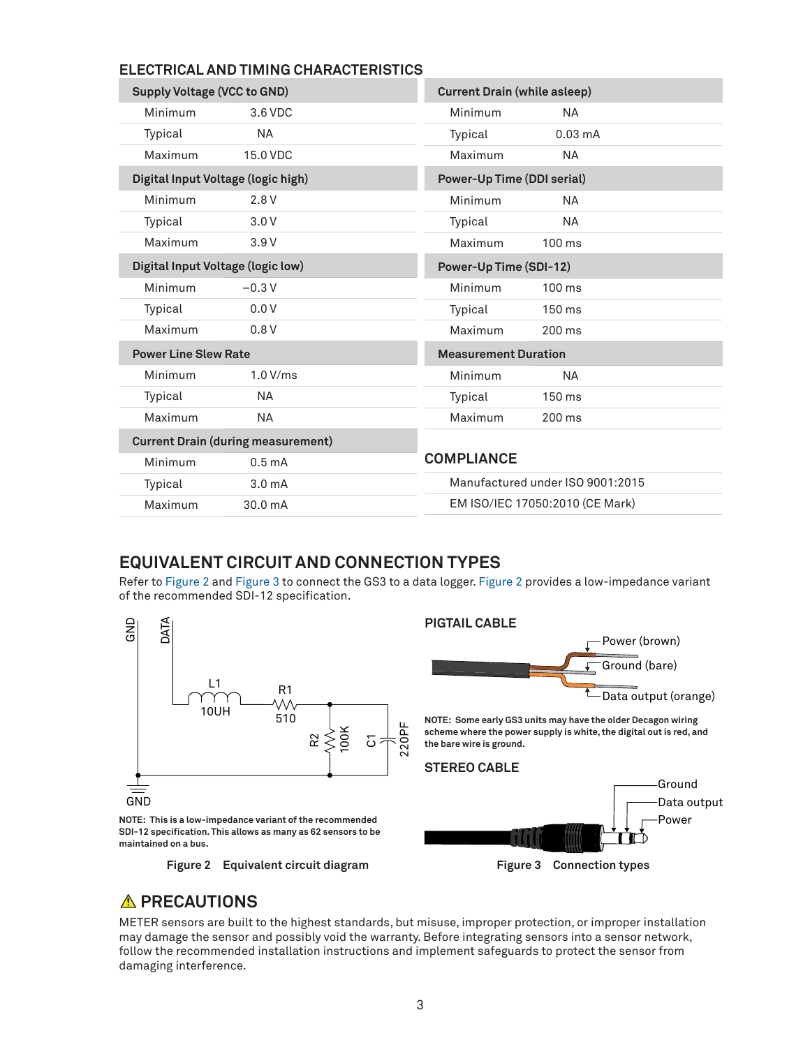### **ELECTRICAL AND TIMING CHARACTERISTICS**

| Supply Voltage (VCC to GND)               |                    | <b>Current Drain (while asleep)</b> |                                  |  |
|-------------------------------------------|--------------------|-------------------------------------|----------------------------------|--|
| Minimum                                   | 3.6 VDC            | Minimum                             | <b>NA</b>                        |  |
| Typical                                   | <b>NA</b>          | Typical                             | $0.03 \text{ mA}$                |  |
| Maximum                                   | 15.0 VDC           | Maximum                             | <b>NA</b>                        |  |
| Digital Input Voltage (logic high)        |                    | <b>Power-Up Time (DDI serial)</b>   |                                  |  |
| Minimum                                   | 2.8V               | Minimum                             | <b>NA</b>                        |  |
| Typical                                   | 3.0V               | Typical                             | <b>NA</b>                        |  |
| Maximum                                   | 3.9V               | Maximum                             | $100 \text{ ms}$                 |  |
| Digital Input Voltage (logic low)         |                    | Power-Up Time (SDI-12)              |                                  |  |
| Minimum                                   | $-0.3V$            | Minimum                             | $100$ ms                         |  |
| Typical                                   | 0.0V               | Typical                             | 150 ms                           |  |
| Maximum                                   | 0.8V               | Maximum                             | 200 ms                           |  |
| <b>Power Line Slew Rate</b>               |                    | <b>Measurement Duration</b>         |                                  |  |
| Minimum                                   | 1.0 V/ms           | Minimum                             | <b>NA</b>                        |  |
| Typical                                   | <b>NA</b>          | Typical                             | 150 ms                           |  |
| Maximum                                   | <b>NA</b>          | Maximum                             | 200 ms                           |  |
| <b>Current Drain (during measurement)</b> |                    |                                     |                                  |  |
| Minimum                                   | 0.5 <sub>mA</sub>  | <b>COMPLIANCE</b>                   |                                  |  |
| Typical                                   | 3.0 <sub>m</sub> A |                                     | Manufactured under ISO 9001:2015 |  |
| Maximum                                   | 30.0 mA            |                                     | EM ISO/IEC 17050:2010 (CE Mark)  |  |

## **EQUIVALENT CIRCUIT AND CONNECTION TYPES**

Refer to [Figure 2](#page-2-0) and [Figure 3](#page-2-1) to connect the GS3 to a data logger. [Figure 2](#page-2-0) provides a low-impedance variant of the recommended SDI-12 specification.



## <span id="page-2-1"></span><span id="page-2-0"></span>*A* PRECAUTIONS

METER sensors are built to the highest standards, but misuse, improper protection, or improper installation may damage the sensor and possibly void the warranty. Before integrating sensors into a sensor network, follow the recommended installation instructions and implement safeguards to protect the sensor from damaging interference.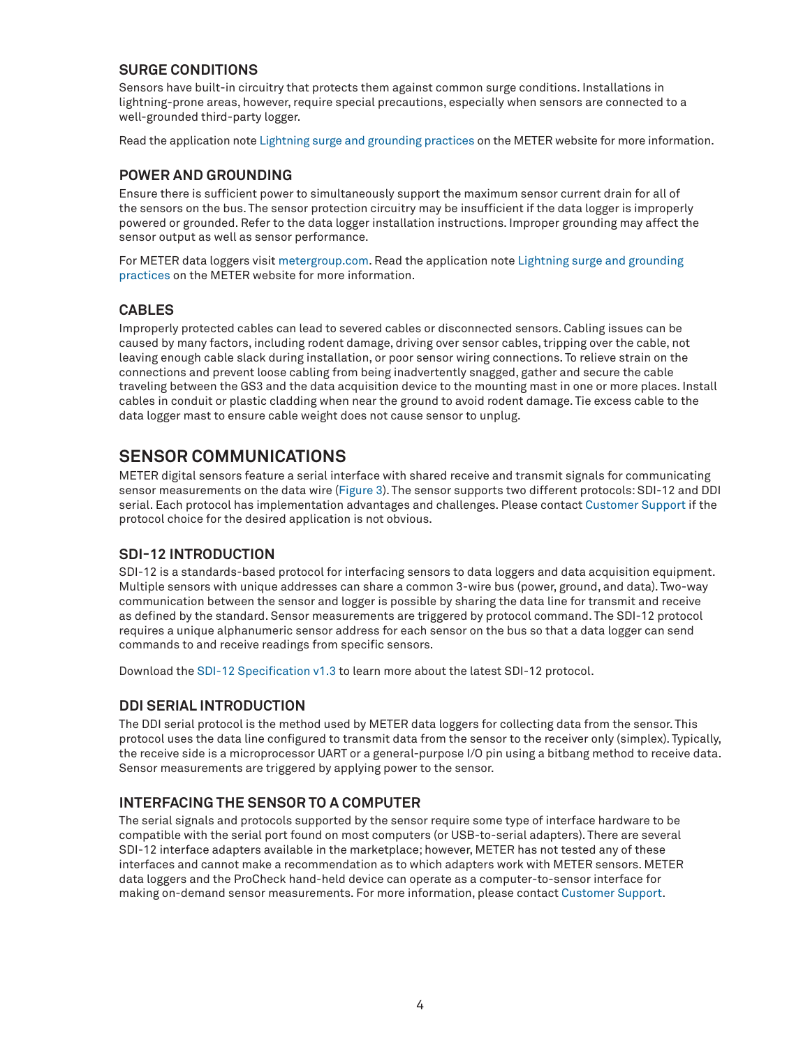### **SURGE CONDITIONS**

Sensors have built-in circuitry that protects them against common surge conditions. Installations in lightning-prone areas, however, require special precautions, especially when sensors are connected to a well-grounded third-party logger.

Read the application note [Lightning surge and grounding practices](https://www.metergroup.com/environment/articles/lightning-surge-grounding-practices/) on the METER website for more information.

### **POWER AND GROUNDING**

Ensure there is sufficient power to simultaneously support the maximum sensor current drain for all of the sensors on the bus. The sensor protection circuitry may be insufficient if the data logger is improperly powered or grounded. Refer to the data logger installation instructions. Improper grounding may affect the sensor output as well as sensor performance.

For METER data loggers visit [metergroup.com.](https://www.metergroup.com) Read the application note [Lightning surge and grounding](https://www.metergroup.com/environment/articles/lightning-surge-grounding-practices/)  [practices](https://www.metergroup.com/environment/articles/lightning-surge-grounding-practices/) on the METER website for more information.

### **CABLES**

Improperly protected cables can lead to severed cables or disconnected sensors. Cabling issues can be caused by many factors, including rodent damage, driving over sensor cables, tripping over the cable, not leaving enough cable slack during installation, or poor sensor wiring connections. To relieve strain on the connections and prevent loose cabling from being inadvertently snagged, gather and secure the cable traveling between the GS3 and the data acquisition device to the mounting mast in one or more places. Install cables in conduit or plastic cladding when near the ground to avoid rodent damage. Tie excess cable to the data logger mast to ensure cable weight does not cause sensor to unplug.

## **SENSOR COMMUNICATIONS**

METER digital sensors feature a serial interface with shared receive and transmit signals for communicating sensor measurements on the data wire [\(Figure 3](#page-2-1)). The sensor supports two different protocols: SDI-12 and DDI serial. Each protocol has implementation advantages and challenges. Please contact [Customer Support](#page-10-0) if the protocol choice for the desired application is not obvious.

### **SDI-12 INTRODUCTION**

SDI-12 is a standards-based protocol for interfacing sensors to data loggers and data acquisition equipment. Multiple sensors with unique addresses can share a common 3-wire bus (power, ground, and data). Two-way communication between the sensor and logger is possible by sharing the data line for transmit and receive as defined by the standard. Sensor measurements are triggered by protocol command. The SDI-12 protocol requires a unique alphanumeric sensor address for each sensor on the bus so that a data logger can send commands to and receive readings from specific sensors.

Download the [SDI-12 Specification v1.3](http://www.sdi-12.org/archives/SDI-12_version1_3%20January%2028,%202016.pdf) to learn more about the latest SDI-12 protocol.

### **DDI SERIAL INTRODUCTION**

The DDI serial protocol is the method used by METER data loggers for collecting data from the sensor. This protocol uses the data line configured to transmit data from the sensor to the receiver only (simplex). Typically, the receive side is a microprocessor UART or a general-purpose I/O pin using a bitbang method to receive data. Sensor measurements are triggered by applying power to the sensor.

### **INTERFACING THE SENSOR TO A COMPUTER**

The serial signals and protocols supported by the sensor require some type of interface hardware to be compatible with the serial port found on most computers (or USB-to-serial adapters). There are several SDI-12 interface adapters available in the marketplace; however, METER has not tested any of these interfaces and cannot make a recommendation as to which adapters work with METER sensors. METER data loggers and the ProCheck hand-held device can operate as a computer-to-sensor interface for making on-demand sensor measurements. For more information, please contact [Customer Support.](#page-10-0)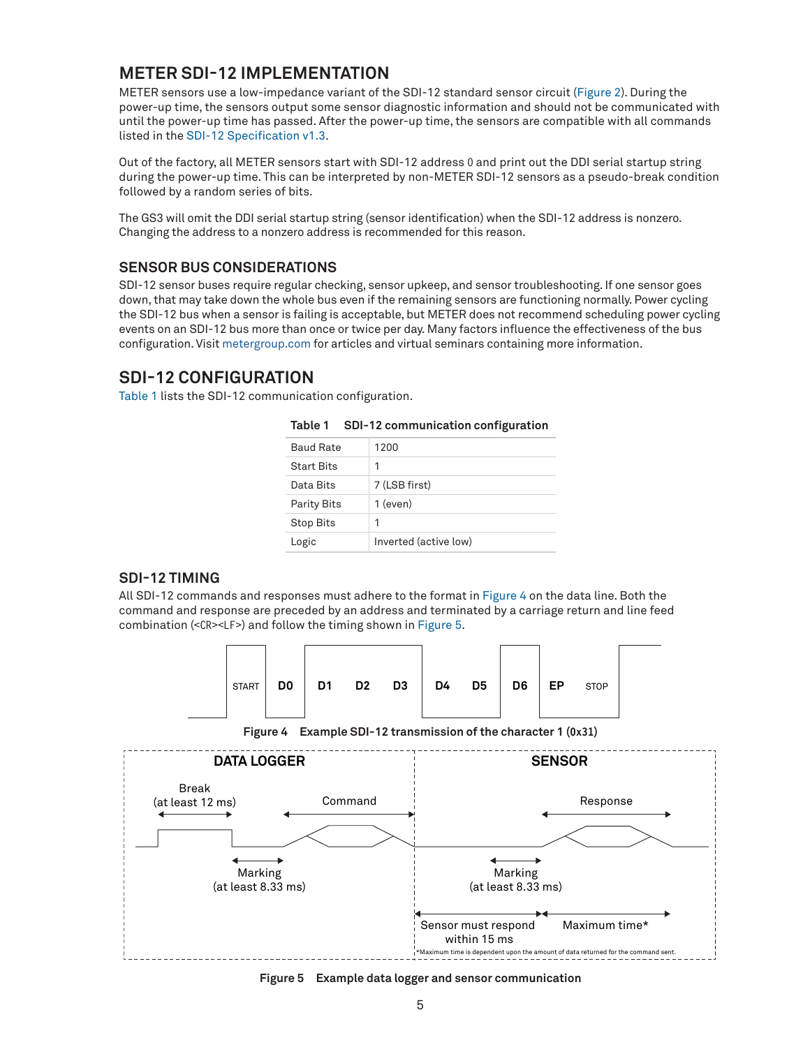## <span id="page-4-3"></span>**METER SDI-12 IMPLEMENTATION**

METER sensors use a low-impedance variant of the SDI-12 standard sensor circuit [\(Figure 2\)](#page-2-0). During the power-up time, the sensors output some sensor diagnostic information and should not be communicated with until the power-up time has passed. After the power-up time, the sensors are compatible with all commands listed in the [SDI-12 Specification v1.3](http://www.sdi-12.org/archives/SDI-12_version1_3%20January%2028,%202016.pdf).

Out of the factory, all METER sensors start with SDI-12 address 0 and print out the DDI serial startup string during the power-up time. This can be interpreted by non-METER SDI-12 sensors as a pseudo-break condition followed by a random series of bits.

The GS3 will omit the DDI serial startup string (sensor identification) when the SDI-12 address is nonzero. Changing the address to a nonzero address is recommended for this reason.

### **SENSOR BUS CONSIDERATIONS**

SDI-12 sensor buses require regular checking, sensor upkeep, and sensor troubleshooting. If one sensor goes down, that may take down the whole bus even if the remaining sensors are functioning normally. Power cycling the SDI-12 bus when a sensor is failing is acceptable, but METER does not recommend scheduling power cycling events on an SDI-12 bus more than once or twice per day. Many factors influence the effectiveness of the bus configuration. Visit [metergroup.com](http://www.metergroup.com) for articles and virtual seminars containing more information.

### **SDI-12 CONFIGURATION**

[Table 1](#page-4-0) lists the SDI-12 communication configuration.

| <b>Baud Rate</b>   | 1200                  |
|--------------------|-----------------------|
| <b>Start Bits</b>  | 1                     |
| Data Bits          | 7 (LSB first)         |
| <b>Parity Bits</b> | $1$ (even)            |
| <b>Stop Bits</b>   | 1                     |
| Logic              | Inverted (active low) |

<span id="page-4-0"></span>

| Table 1 |  | SDI-12 communication configuration |  |
|---------|--|------------------------------------|--|
|---------|--|------------------------------------|--|

#### **SDI-12 TIMING**

All SDI-12 commands and responses must adhere to the format in [Figure 4](#page-4-1) on the data line. Both the command and response are preceded by an address and terminated by a carriage return and line feed combination (<CR><LF>) and follow the timing shown in [Figure 5](#page-4-2).



<span id="page-4-1"></span>**Figure 4 Example SDI-12 transmission of the character 1 (0x31)**



<span id="page-4-2"></span>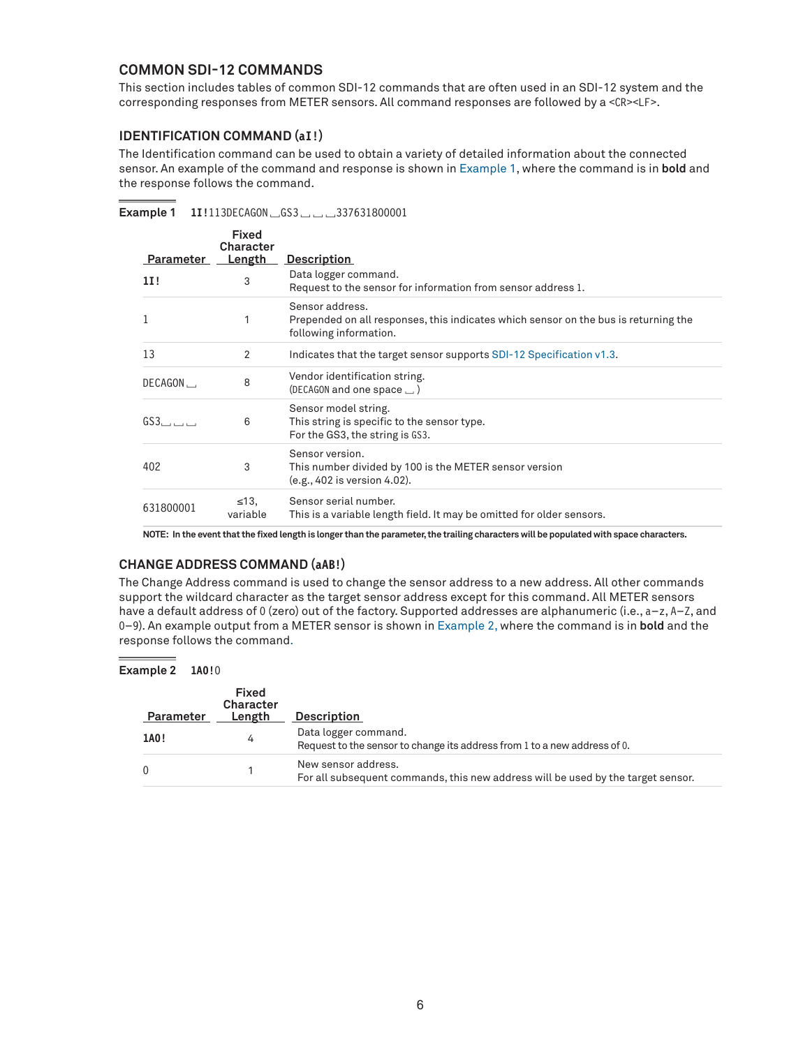### **COMMON SDI-12 COMMANDS**

This section includes tables of common SDI-12 commands that are often used in an SDI-12 system and the corresponding responses from METER sensors. All command responses are followed by a <CR><LF>.

#### **IDENTIFICATION COMMAND (aI!)**

The Identification command can be used to obtain a variety of detailed information about the connected sensor. An example of the command and response is shown in [Example 1](#page-5-0), where the command is in **bold** and the response follows the command.

**Example 1 1I!**113DECAGON␣GS3␣␣␣337631800001

<span id="page-5-0"></span>

| Parameter    | Fixed<br>Character<br>Length | <b>Description</b>                                                                                                               |
|--------------|------------------------------|----------------------------------------------------------------------------------------------------------------------------------|
| 11!          | 3                            | Data logger command.<br>Request to the sensor for information from sensor address 1.                                             |
| $\mathbf{1}$ | 1                            | Sensor address.<br>Prepended on all responses, this indicates which sensor on the bus is returning the<br>following information. |
| 13           | 2                            | Indicates that the target sensor supports SDI-12 Specification v1.3.                                                             |
| DECAGON.     | 8                            | Vendor identification string.<br>(DECAGON and one space $\Box$ )                                                                 |
| GS3          | 6                            | Sensor model string.<br>This string is specific to the sensor type.<br>For the GS3, the string is GS3.                           |
| 402          | 3                            | Sensor version.<br>This number divided by 100 is the METER sensor version<br>(e.g., 402 is version 4.02).                        |
| 631800001    | $\leq 13$<br>variable        | Sensor serial number.<br>This is a variable length field. It may be omitted for older sensors.                                   |

**NOTE: In the event that the fixed length is longer than the parameter, the trailing characters will be populated with space characters.**

#### **CHANGE ADDRESS COMMAND (aAB!)**

The Change Address command is used to change the sensor address to a new address. All other commands support the wildcard character as the target sensor address except for this command. All METER sensors have a default address of 0 (zero) out of the factory. Supported addresses are alphanumeric (i.e., a-z, A-Z, and 0–9). An example output from a METER sensor is shown in [Example 2,](#page-5-1) where the command is in **bold** and the response follows the command.

**Example 2 1A0!**0

<span id="page-5-1"></span>

| Parameter | Fixed<br><b>Character</b><br>Length | <b>Description</b>                                                                                      |
|-----------|-------------------------------------|---------------------------------------------------------------------------------------------------------|
| 1A0!      | 4                                   | Data logger command.<br>Request to the sensor to change its address from 1 to a new address of 0.       |
| $\Omega$  |                                     | New sensor address.<br>For all subsequent commands, this new address will be used by the target sensor. |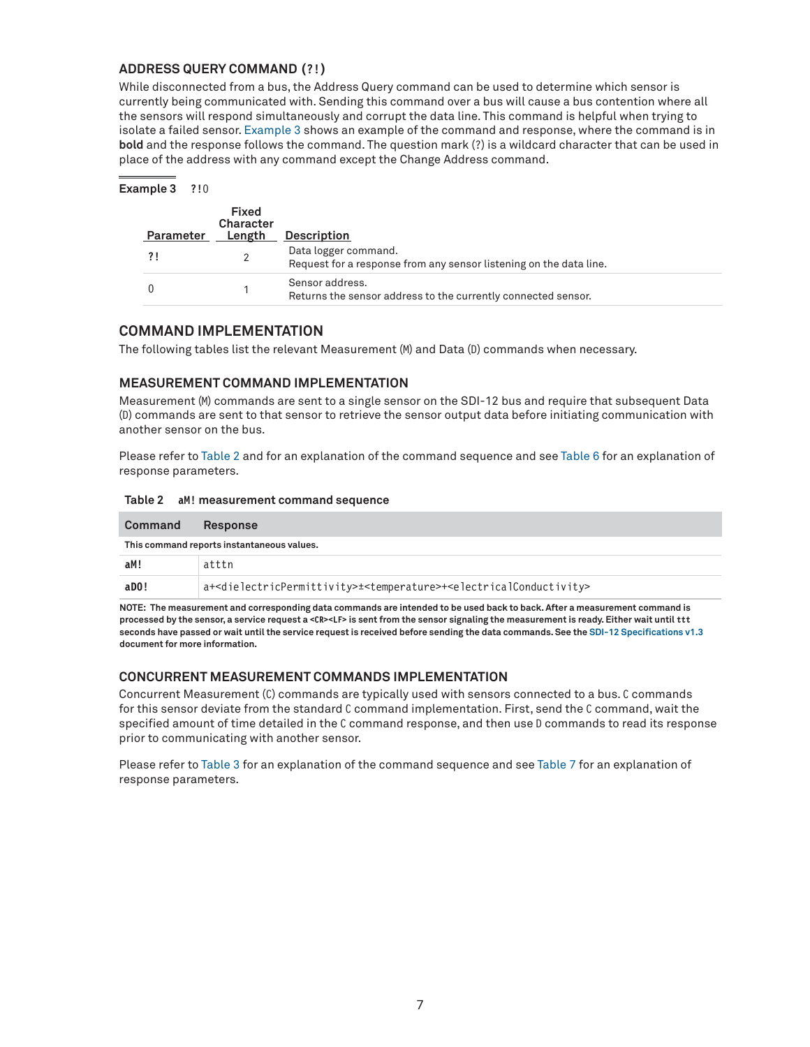#### **ADDRESS QUERY COMMAND (?!)**

While disconnected from a bus, the Address Query command can be used to determine which sensor is currently being communicated with. Sending this command over a bus will cause a bus contention where all the sensors will respond simultaneously and corrupt the data line. This command is helpful when trying to isolate a failed sensor. [Example 3](#page-6-0) shows an example of the command and response, where the command is in **bold** and the response follows the command. The question mark (?) is a wildcard character that can be used in place of the address with any command except the Change Address command.

**Example 3 ?!**0

<span id="page-6-0"></span>

| Parameter | <b>Fixed</b><br>Character<br>Length | <b>Description</b>                                                                         |
|-----------|-------------------------------------|--------------------------------------------------------------------------------------------|
|           |                                     | Data logger command.<br>Request for a response from any sensor listening on the data line. |
|           |                                     | Sensor address.<br>Returns the sensor address to the currently connected sensor.           |

### **COMMAND IMPLEMENTATION**

The following tables list the relevant Measurement (M) and Data (D) commands when necessary.

### **MEASUREMENT COMMAND IMPLEMENTATION**

Measurement (M) commands are sent to a single sensor on the SDI-12 bus and require that subsequent Data (D) commands are sent to that sensor to retrieve the sensor output data before initiating communication with another sensor on the bus.

Please refer to [Table 2](#page-6-1) and for an explanation of the command sequence and see [Table 6](#page-7-0) for an explanation of response parameters.

#### <span id="page-6-1"></span>**Table 2 aM! measurement command sequence**

| Command | Response                                                                                                                           |
|---------|------------------------------------------------------------------------------------------------------------------------------------|
|         | This command reports instantaneous values.                                                                                         |
| aM!     | atttn                                                                                                                              |
| aDO!    | a+ <dielectricpermittivity>±<temperature>+<electricalconductivity></electricalconductivity></temperature></dielectricpermittivity> |

**NOTE: The measurement and corresponding data commands are intended to be used back to back. After a measurement command is processed by the sensor, a service request a <CR><LF> is sent from the sensor signaling the measurement is ready. Either wait until ttt seconds have passed or wait until the service request is received before sending the data commands. See the [SDI-12 Specifications v1.3](http://www.sdi-12.org/archives/SDI-12_version1_3%20January%2028,%202016.pdf) document for more information.**

#### **CONCURRENT MEASUREMENT COMMANDS IMPLEMENTATION**

Concurrent Measurement (C) commands are typically used with sensors connected to a bus. C commands for this sensor deviate from the standard C command implementation. First, send the C command, wait the specified amount of time detailed in the C command response, and then use D commands to read its response prior to communicating with another sensor.

Please refer to [Table 3](#page-7-1) for an explanation of the command sequence and see [Table 7](#page-8-0) for an explanation of response parameters.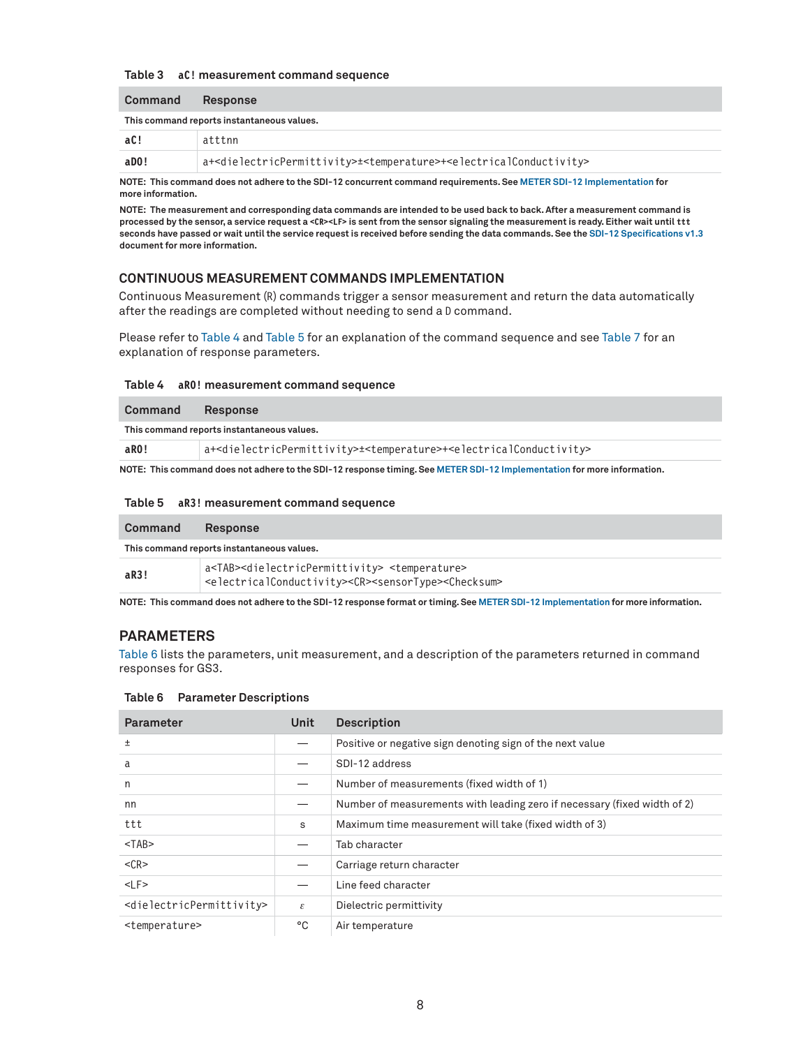#### <span id="page-7-1"></span>**Table 3 aC! measurement command sequence**

| <b>Command</b> | <b>Response</b>                                                                                                                    |
|----------------|------------------------------------------------------------------------------------------------------------------------------------|
|                | This command reports instantaneous values.                                                                                         |
| aC!            | atttnn                                                                                                                             |
| aDO!           | a+ <dielectricpermittivity>±<temperature>+<electricalconductivity></electricalconductivity></temperature></dielectricpermittivity> |
|                |                                                                                                                                    |

**NOTE: This command does not adhere to the SDI-12 concurrent command requirements. See [METER SDI-12 Implementation](#page-4-3) for more information.**

**NOTE: The measurement and corresponding data commands are intended to be used back to back. After a measurement command is processed by the sensor, a service request a <CR><LF> is sent from the sensor signaling the measurement is ready. Either wait until ttt seconds have passed or wait until the service request is received before sending the data commands. See the [SDI-12 Specifications v1.3](http://www.sdi-12.org/archives/SDI-12_version1_3%20January%2028,%202016.pdf) document for more information.**

#### **CONTINUOUS MEASUREMENT COMMANDS IMPLEMENTATION**

Continuous Measurement (R) commands trigger a sensor measurement and return the data automatically after the readings are completed without needing to send a D command.

Please refer to [Table 4](#page-7-2) and [Table 5](#page-7-3) for an explanation of the command sequence and see [Table 7](#page-8-0) for an explanation of response parameters.

#### <span id="page-7-2"></span>**Table 4 aR0! measurement command sequence**

| Command | <b>Response</b>                                                                                                                    |  |  |
|---------|------------------------------------------------------------------------------------------------------------------------------------|--|--|
|         | This command reports instantaneous values.                                                                                         |  |  |
| aRO!    | a+ <dielectricpermittivity>±<temperature>+<electricalconductivity></electricalconductivity></temperature></dielectricpermittivity> |  |  |
|         | NOTE: This command does not adhere to the SDL-12 response timing See METER SDL-12 Implementation for more information              |  |  |

**NOTE: This command does not adhere to the SDI-12 response timing. See [METER SDI-12 Implementation](#page-4-3) for more information.**

#### <span id="page-7-3"></span>**Table 5 aR3! measurement command sequence**

| <b>Command</b> | <b>Response</b>                                                                                                                                                                                         |  |  |
|----------------|---------------------------------------------------------------------------------------------------------------------------------------------------------------------------------------------------------|--|--|
|                | This command reports instantaneous values.                                                                                                                                                              |  |  |
| aR3!           | a <tab><dielectricpermittivity> <temperature><br/><electricalconductivity><cr><sensortype><checksum></checksum></sensortype></cr></electricalconductivity></temperature></dielectricpermittivity></tab> |  |  |

**NOTE: This command does not adhere to the SDI-12 response format or timing. See [METER SDI-12 Implementation](#page-4-3) for more information.**

#### **PARAMETERS**

[Table 6](#page-7-0) lists the parameters, unit measurement, and a description of the parameters returned in command responses for GS3.

#### <span id="page-7-0"></span>**Table 6 Parameter Descriptions**

| <b>Parameter</b>                                  | Unit | <b>Description</b>                                                       |
|---------------------------------------------------|------|--------------------------------------------------------------------------|
| $\pm$                                             |      | Positive or negative sign denoting sign of the next value                |
| a                                                 |      | SDI-12 address                                                           |
| n                                                 |      | Number of measurements (fixed width of 1)                                |
| nn                                                |      | Number of measurements with leading zero if necessary (fixed width of 2) |
| ttt                                               | S    | Maximum time measurement will take (fixed width of 3)                    |
| $<$ TAB $>$                                       |      | Tab character                                                            |
| $<$ CR $>$                                        |      | Carriage return character                                                |
| $<$ LF>                                           |      | Line feed character                                                      |
| <dielectricpermittivity></dielectricpermittivity> | ε    | Dielectric permittivity                                                  |
| <temperature></temperature>                       | °C   | Air temperature                                                          |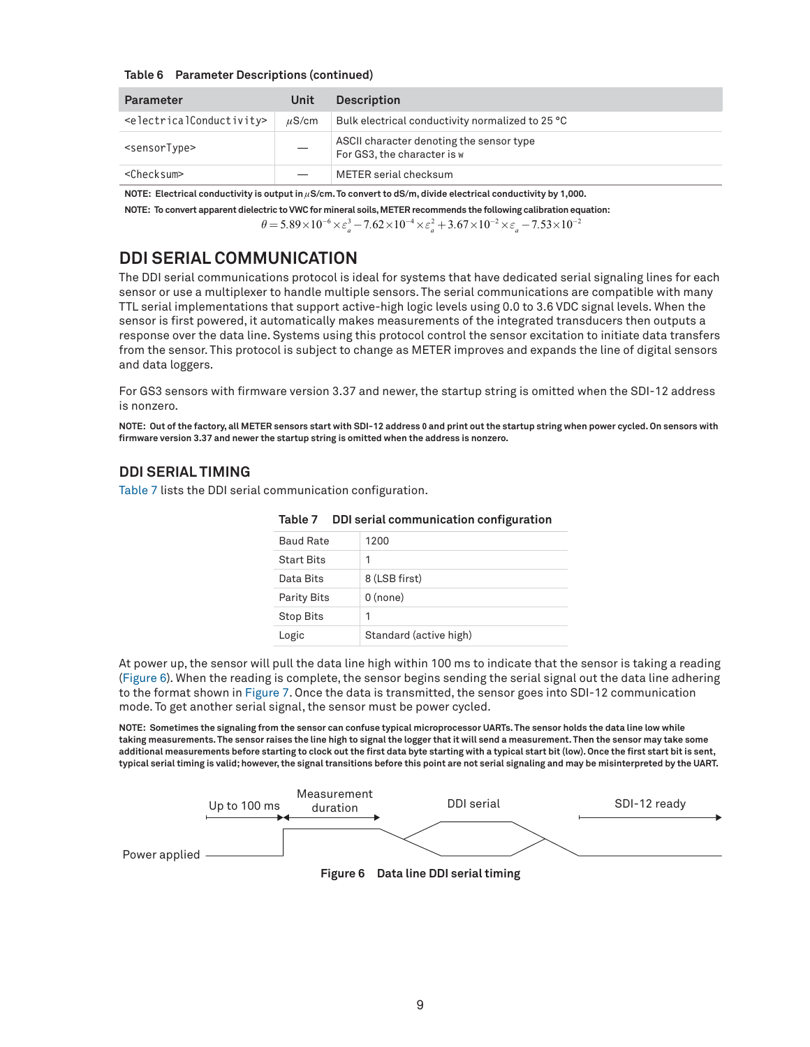#### **Table 6 Parameter Descriptions (continued)**

| <b>Parameter</b>                                  | Unit       | <b>Description</b>                                                      |
|---------------------------------------------------|------------|-------------------------------------------------------------------------|
| <electricalconductivity></electricalconductivity> | $\mu$ S/cm | Bulk electrical conductivity normalized to 25 °C                        |
| <sensortype></sensortype>                         |            | ASCII character denoting the sensor type<br>For GS3, the character is w |
| <checksum></checksum>                             |            | METER serial checksum                                                   |

**NOTE:** Electrical conductivity is output in  $\mu$ S/cm. To convert to dS/m, divide electrical conductivity by 1,000.

**NOTE: To convert apparent dielectric to VWC for mineral soils, METER recommends the following calibration equation:**

 $\theta = 5.89 \times 10^{-6} \times \varepsilon_a^3 - 7.62 \times 10^{-4} \times \varepsilon_a^2 + 3.67 \times 10^{-2} \times \varepsilon_a - 7.53 \times 10^{-2}$ 

## **DDI SERIAL COMMUNICATION**

The DDI serial communications protocol is ideal for systems that have dedicated serial signaling lines for each sensor or use a multiplexer to handle multiple sensors. The serial communications are compatible with many TTL serial implementations that support active-high logic levels using 0.0 to 3.6 VDC signal levels. When the sensor is first powered, it automatically makes measurements of the integrated transducers then outputs a response over the data line. Systems using this protocol control the sensor excitation to initiate data transfers from the sensor. This protocol is subject to change as METER improves and expands the line of digital sensors and data loggers.

For GS3 sensors with firmware version 3.37 and newer, the startup string is omitted when the SDI-12 address is nonzero.

**NOTE: Out of the factory, all METER sensors start with SDI-12 address 0 and print out the startup string when power cycled. On sensors with firmware version 3.37 and newer the startup string is omitted when the address is nonzero.**

### **DDI SERIAL TIMING**

[Table 7](#page-8-0) lists the DDI serial communication configuration.

<span id="page-8-1"></span>

| <b>Baud Rate</b>   | 1200                   |
|--------------------|------------------------|
| <b>Start Bits</b>  |                        |
| Data Bits          | 8 (LSB first)          |
| <b>Parity Bits</b> | $0$ (none)             |
| <b>Stop Bits</b>   | 1                      |
| Logic              | Standard (active high) |

<span id="page-8-0"></span>

|  |  | Table 7 DDI serial communication configuration |  |
|--|--|------------------------------------------------|--|
|--|--|------------------------------------------------|--|

At power up, the sensor will pull the data line high within 100 ms to indicate that the sensor is taking a reading ([Figure 6](#page-8-1)). When the reading is complete, the sensor begins sending the serial signal out the data line adhering to the format shown in [Figure 7.](#page-9-0) Once the data is transmitted, the sensor goes into SDI-12 communication mode. To get another serial signal, the sensor must be power cycled.

**NOTE: Sometimes the signaling from the sensor can confuse typical microprocessor UARTs. The sensor holds the data line low while taking measurements. The sensor raises the line high to signal the logger that it will send a measurement. Then the sensor may take some additional measurements before starting to clock out the first data byte starting with a typical start bit (low). Once the first start bit is sent, typical serial timing is valid; however, the signal transitions before this point are not serial signaling and may be misinterpreted by the UART.**

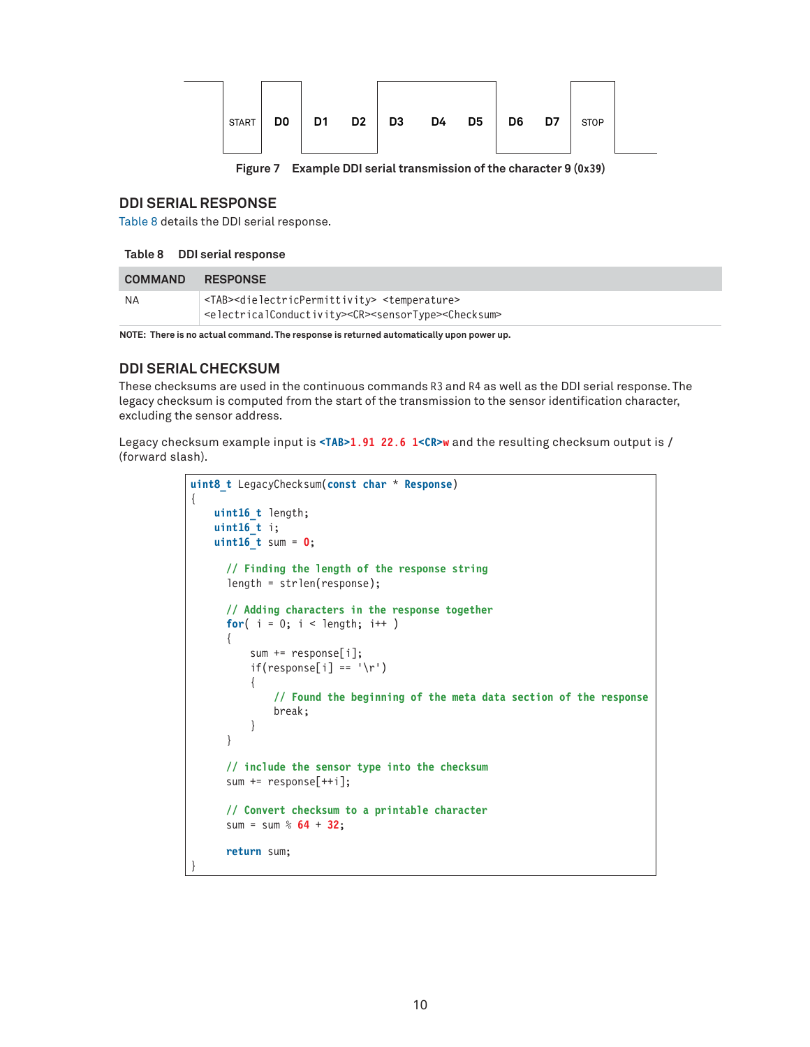|  | <b>START</b> | DO. |  |  | D1 D2 D3 |  | D4 D5 | D6 D | D7 | <b>STOP</b> |  |
|--|--------------|-----|--|--|----------|--|-------|------|----|-------------|--|
|--|--------------|-----|--|--|----------|--|-------|------|----|-------------|--|

<span id="page-9-1"></span><span id="page-9-0"></span>**Figure 7 Example DDI serial transmission of the character 9 (0x39)**

#### **DDI SERIAL RESPONSE**

[Table 8](#page-9-1) details the DDI serial response.

#### **Table 8 DDI serial response**

| <b>COMMAND</b> | <b>RESPONSE</b>                                                                                                                                                                                       |
|----------------|-------------------------------------------------------------------------------------------------------------------------------------------------------------------------------------------------------|
| NA             | <tab><dielectricpermittivity> <temperature><br/><electricalconductivity><cr><sensortype><checksum></checksum></sensortype></cr></electricalconductivity></temperature></dielectricpermittivity></tab> |

**NOTE: There is no actual command. The response is returned automatically upon power up.** 

### **DDI SERIAL CHECKSUM**

These checksums are used in the continuous commands R3 and R4 as well as the DDI serial response. The legacy checksum is computed from the start of the transmission to the sensor identification character, excluding the sensor address.

Legacy checksum example input is **<TAB>1.91 22.6 1<CR>w** and the resulting checksum output is **/** (forward slash).

```
uint8_t LegacyChecksum(const char * Response)
{ 
    uint16_t length;
    uint16_t i;
    uint16_t sum = 0;
       // Finding the length of the response string
       length = strlen(response);
       // Adding characters in the response together
      for( i = 0; i < length; i++ )
       {
           sum += response[i];
          if(response[i] == '\r')\{ // Found the beginning of the meta data section of the response
               break;
           }
       }
       // include the sensor type into the checksum
       sum += response[++i];
       // Convert checksum to a printable character
       sum = sum % 64 + 32;
       return sum;
}
```